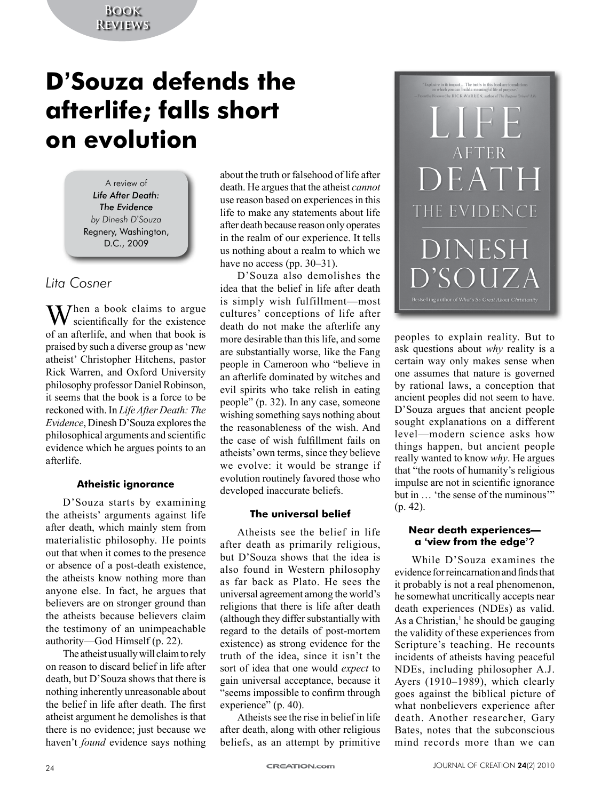# **Book Reviews**

# **D'Souza defends the afterlife; falls short on evolution**

A review of *Life After Death: The Evidence by Dinesh D*'*Souza* Regnery, Washington, D.C., 2009

# *Lita Cosner*

 $M$ hen a book claims to argue scientifically for the existence of an afterlife, and when that book is praised by such a diverse group as 'new atheist' Christopher Hitchens, pastor Rick Warren, and Oxford University philosophy professor Daniel Robinson, it seems that the book is a force to be reckoned with. In *Life After Death: The Evidence*, Dinesh D'Souza explores the philosophical arguments and scientific evidence which he argues points to an afterlife.

# **Atheistic ignorance**

D'Souza starts by examining the atheists' arguments against life after death, which mainly stem from materialistic philosophy. He points out that when it comes to the presence or absence of a post-death existence, the atheists know nothing more than anyone else. In fact, he argues that believers are on stronger ground than the atheists because believers claim the testimony of an unimpeachable authority—God Himself (p. 22).

The atheist usually will claim to rely on reason to discard belief in life after death, but D'Souza shows that there is nothing inherently unreasonable about the belief in life after death. The first atheist argument he demolishes is that there is no evidence; just because we haven't *found* evidence says nothing

about the truth or falsehood of life after death. He argues that the atheist *cannot*  use reason based on experiences in this life to make any statements about life after death because reason only operates in the realm of our experience. It tells us nothing about a realm to which we have no access (pp. 30–31).

D'Souza also demolishes the idea that the belief in life after death is simply wish fulfillment—most cultures' conceptions of life after death do not make the afterlife any more desirable than this life, and some are substantially worse, like the Fang people in Cameroon who "believe in an afterlife dominated by witches and evil spirits who take relish in eating people" (p. 32). In any case, someone wishing something says nothing about the reasonableness of the wish. And the case of wish fulfillment fails on atheists' own terms, since they believe we evolve: it would be strange if evolution routinely favored those who developed inaccurate beliefs.

# **The universal belief**

Atheists see the belief in life after death as primarily religious, but D'Souza shows that the idea is also found in Western philosophy as far back as Plato. He sees the universal agreement among the world's religions that there is life after death (although they differ substantially with regard to the details of post-mortem existence) as strong evidence for the truth of the idea, since it isn't the sort of idea that one would *expect* to gain universal acceptance, because it "seems impossible to confirm through experience" (p. 40).

Atheists see the rise in belief in life after death, along with other religious beliefs, as an attempt by primitive



peoples to explain reality. But to ask questions about *why* reality is a certain way only makes sense when one assumes that nature is governed by rational laws, a conception that ancient peoples did not seem to have. D'Souza argues that ancient people sought explanations on a different level—modern science asks how things happen, but ancient people really wanted to know *why*. He argues that "the roots of humanity's religious impulse are not in scientific ignorance but in … 'the sense of the numinous'" (p. 42).

### **Near death experiences a 'view from the edge'?**

While D'Souza examines the evidence for reincarnation and finds that it probably is not a real phenomenon, he somewhat uncritically accepts near death experiences (NDEs) as valid. As a Christian, $<sup>1</sup>$  he should be gauging</sup> the validity of these experiences from Scripture's teaching. He recounts incidents of atheists having peaceful NDEs, including philosopher A.J. Ayers (1910–1989), which clearly goes against the biblical picture of what nonbelievers experience after death. Another researcher, Gary Bates, notes that the subconscious mind records more than we can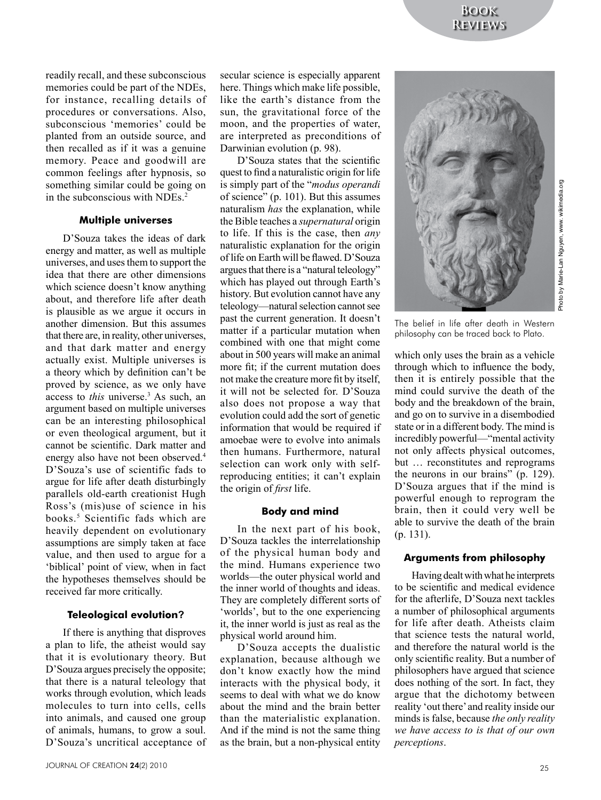readily recall, and these subconscious memories could be part of the NDEs, for instance, recalling details of procedures or conversations. Also, subconscious 'memories' could be planted from an outside source, and then recalled as if it was a genuine memory. Peace and goodwill are common feelings after hypnosis, so something similar could be going on in the subconscious with NDEs.<sup>2</sup>

#### **Multiple universes**

D'Souza takes the ideas of dark energy and matter, as well as multiple universes, and uses them to support the idea that there are other dimensions which science doesn't know anything about, and therefore life after death is plausible as we argue it occurs in another dimension. But this assumes that there are, in reality, other universes, and that dark matter and energy actually exist. Multiple universes is a theory which by definition can't be proved by science, as we only have access to *this* universe.<sup>3</sup> As such, an argument based on multiple universes can be an interesting philosophical or even theological argument, but it cannot be scientific. Dark matter and energy also have not been observed.<sup>4</sup> D'Souza's use of scientific fads to argue for life after death disturbingly parallels old-earth creationist Hugh Ross's (mis)use of science in his books.<sup>5</sup> Scientific fads which are heavily dependent on evolutionary assumptions are simply taken at face value, and then used to argue for a 'biblical' point of view, when in fact the hypotheses themselves should be received far more critically.

#### **Teleological evolution?**

If there is anything that disproves a plan to life, the atheist would say that it is evolutionary theory. But D'Souza argues precisely the opposite; that there is a natural teleology that works through evolution, which leads molecules to turn into cells, cells into animals, and caused one group of animals, humans, to grow a soul. D'Souza's uncritical acceptance of secular science is especially apparent here. Things which make life possible, like the earth's distance from the sun, the gravitational force of the moon, and the properties of water, are interpreted as preconditions of Darwinian evolution (p. 98).

D'Souza states that the scientific quest to find a naturalistic origin for life is simply part of the "*modus operandi*  of science" (p. 101). But this assumes naturalism *has* the explanation, while the Bible teaches a *supernatural* origin to life. If this is the case, then *any* naturalistic explanation for the origin of life on Earth will be flawed. D'Souza argues that there is a "natural teleology" which has played out through Earth's history. But evolution cannot have any teleology—natural selection cannot see past the current generation. It doesn't matter if a particular mutation when combined with one that might come about in 500 years will make an animal more fit; if the current mutation does not make the creature more fit by itself, it will not be selected for. D'Souza also does not propose a way that evolution could add the sort of genetic information that would be required if amoebae were to evolve into animals then humans. Furthermore, natural selection can work only with selfreproducing entities; it can't explain the origin of *first* life.

# **Body and mind**

In the next part of his book, D'Souza tackles the interrelationship of the physical human body and the mind. Humans experience two worlds—the outer physical world and the inner world of thoughts and ideas. They are completely different sorts of 'worlds', but to the one experiencing it, the inner world is just as real as the physical world around him.

D'Souza accepts the dualistic explanation, because although we don't know exactly how the mind interacts with the physical body, it seems to deal with what we do know about the mind and the brain better than the materialistic explanation. And if the mind is not the same thing as the brain, but a non-physical entity



The belief in life after death in Western philosophy can be traced back to Plato.

which only uses the brain as a vehicle through which to influence the body, then it is entirely possible that the mind could survive the death of the body and the breakdown of the brain, and go on to survive in a disembodied state or in a different body. The mind is incredibly powerful—"mental activity not only affects physical outcomes, but … reconstitutes and reprograms the neurons in our brains" (p. 129). D'Souza argues that if the mind is powerful enough to reprogram the brain, then it could very well be able to survive the death of the brain (p. 131).

# **Arguments from philosophy**

Having dealt with what he interprets to be scientific and medical evidence for the afterlife, D'Souza next tackles a number of philosophical arguments for life after death. Atheists claim that science tests the natural world, and therefore the natural world is the only scientific reality. But a number of philosophers have argued that science does nothing of the sort. In fact, they argue that the dichotomy between reality 'out there' and reality inside our minds is false, because *the only reality we have access to is that of our own perceptions*.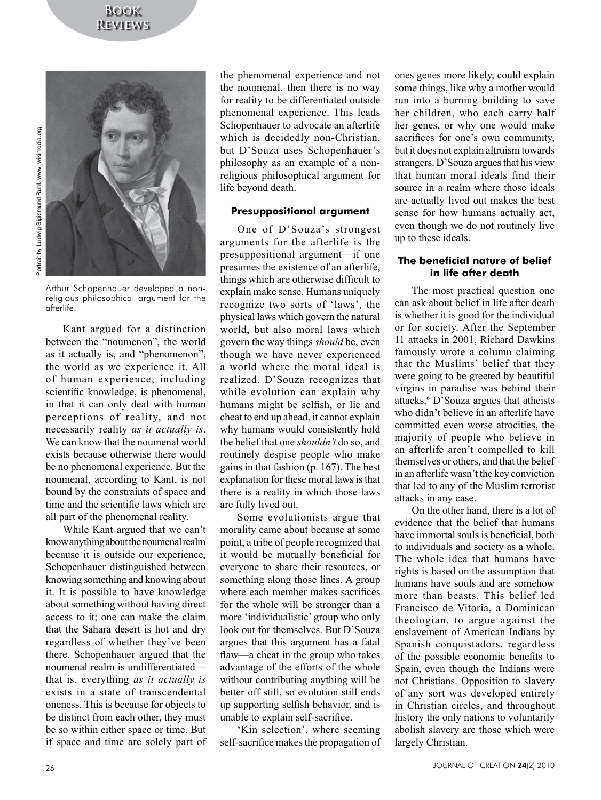# **Book Reviews**





Arthur Schopenhauer developed a nonreligious philosophical argument for the afterlife.

Kant argued for a distinction between the "noumenon", the world as it actually is, and "phenomenon", the world as we experience it. All of human experience, including scientific knowledge, is phenomenal, in that it can only deal with human perceptions of reality, and not necessarily reality *as it actually is*. We can know that the noumenal world exists because otherwise there would be no phenomenal experience. But the noumenal, according to Kant, is not bound by the constraints of space and time and the scientific laws which are all part of the phenomenal reality.

While Kant argued that we can't know anything about the noumenal realm because it is outside our experience, Schopenhauer distinguished between knowing something and knowing about it. It is possible to have knowledge about something without having direct access to it; one can make the claim that the Sahara desert is hot and dry regardless of whether they've been there. Schopenhauer argued that the noumenal realm is undifferentiated that is, everything *as it actually is*  exists in a state of transcendental oneness. This is because for objects to be distinct from each other, they must be so within either space or time. But if space and time are solely part of the phenomenal experience and not the noumenal, then there is no way for reality to be differentiated outside phenomenal experience. This leads Schopenhauer to advocate an afterlife which is decidedly non-Christian, but D'Souza uses Schopenhauer's philosophy as an example of a nonreligious philosophical argument for life beyond death.

#### **Presuppositional argument**

One of D'Souza's strongest arguments for the afterlife is the presuppositional argument—if one presumes the existence of an afterlife, things which are otherwise difficult to explain make sense. Humans uniquely recognize two sorts of 'laws', the physical laws which govern the natural world, but also moral laws which govern the way things *should* be, even though we have never experienced a world where the moral ideal is realized. D'Souza recognizes that while evolution can explain why humans might be selfish, or lie and cheat to end up ahead, it cannot explain why humans would consistently hold the belief that one *shouldn't* do so, and routinely despise people who make gains in that fashion (p. 167). The best explanation for these moral laws is that there is a reality in which those laws are fully lived out.

Some evolutionists argue that morality came about because at some point, a tribe of people recognized that it would be mutually beneficial for everyone to share their resources, or something along those lines. A group where each member makes sacrifices for the whole will be stronger than a more 'individualistic' group who only look out for themselves. But D'Souza argues that this argument has a fatal flaw—a cheat in the group who takes advantage of the efforts of the whole without contributing anything will be better off still, so evolution still ends up supporting selfish behavior, and is unable to explain self-sacrifice.

'Kin selection', where seeming self-sacrifice makes the propagation of ones genes more likely, could explain some things, like why a mother would run into a burning building to save her children, who each carry half her genes, or why one would make sacrifices for one's own community, but it does not explain altruism towards strangers. D'Souza argues that his view that human moral ideals find their source in a realm where those ideals are actually lived out makes the best sense for how humans actually act, even though we do not routinely live up to these ideals.

## **The beneficial nature of belief in life after death**

The most practical question one can ask about belief in life after death is whether it is good for the individual or for society. After the September 11 attacks in 2001, Richard Dawkins famously wrote a column claiming that the Muslims' belief that they were going to be greeted by beautiful virgins in paradise was behind their attacks.6 D'Souza argues that atheists who didn't believe in an afterlife have committed even worse atrocities, the majority of people who believe in an afterlife aren't compelled to kill themselves or others, and that the belief in an afterlife wasn't the key conviction that led to any of the Muslim terrorist attacks in any case.

On the other hand, there is a lot of evidence that the belief that humans have immortal souls is beneficial, both to individuals and society as a whole. The whole idea that humans have rights is based on the assumption that humans have souls and are somehow more than beasts. This belief led Francisco de Vitoria, a Dominican theologian, to argue against the enslavement of American Indians by Spanish conquistadors, regardless of the possible economic benefits to Spain, even though the Indians were not Christians. Opposition to slavery of any sort was developed entirely in Christian circles, and throughout history the only nations to voluntarily abolish slavery are those which were largely Christian.